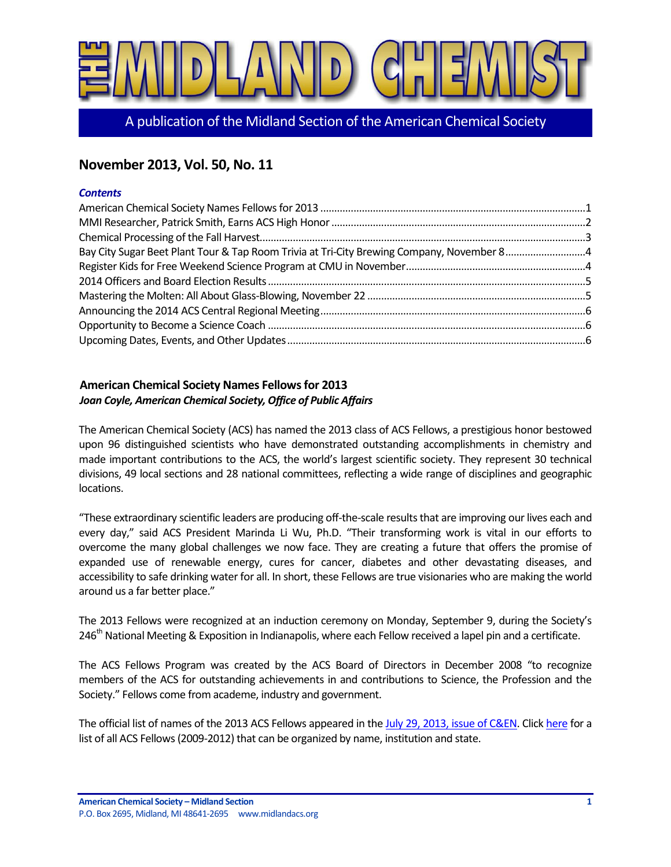

A publication of the Midland Section of the American Chemical Society

# **November 2013, Vol. 50, No. 11**

#### *Contents*

| Bay City Sugar Beet Plant Tour & Tap Room Trivia at Tri-City Brewing Company, November 84 |  |
|-------------------------------------------------------------------------------------------|--|
|                                                                                           |  |
|                                                                                           |  |
|                                                                                           |  |
|                                                                                           |  |
|                                                                                           |  |
|                                                                                           |  |

# <span id="page-0-0"></span>**American Chemical Society Names Fellows for 2013** *Joan Coyle, American Chemical Society, Office of Public Affairs*

The American Chemical Society (ACS) has named the 2013 class of ACS Fellows, a prestigious honor bestowed upon 96 distinguished scientists who have demonstrated outstanding accomplishments in chemistry and made important contributions to the ACS, the world's largest scientific society. They represent 30 technical divisions, 49 local sections and 28 national committees, reflecting a wide range of disciplines and geographic locations.

"These extraordinary scientific leaders are producing off-the-scale results that are improving our lives each and every day," said ACS President Marinda Li Wu, Ph.D. "Their transforming work is vital in our efforts to overcome the many global challenges we now face. They are creating a future that offers the promise of expanded use of renewable energy, cures for cancer, diabetes and other devastating diseases, and accessibility to safe drinking water for all. In short, these Fellows are true visionaries who are making the world around us a far better place."

The 2013 Fellows were recognized at an induction ceremony on Monday, September 9, during the Society's 246<sup>th</sup> National Meeting & Exposition in Indianapolis, where each Fellow received a lapel pin and a certificate.

The ACS Fellows Program was created by the ACS Board of Directors in December 2008 "to recognize members of the ACS for outstanding achievements in and contributions to Science, the Profession and the Society." Fellows come from academe, industry and government.

The official list of names of the 2013 ACS Fellows appeared in the [July 29, 2013, issue of C&EN.](http://paracom.paramountcommunication.com/ct/14872390:17013469739:m:1:200948302:4B833583189D4B4727FED810FC95F977:r) Clic[k here](http://paracom.paramountcommunication.com/ct/14872391:17013469739:m:1:200948302:4B833583189D4B4727FED810FC95F977:r) for a list of all ACS Fellows (2009-2012) that can be organized by name, institution and state.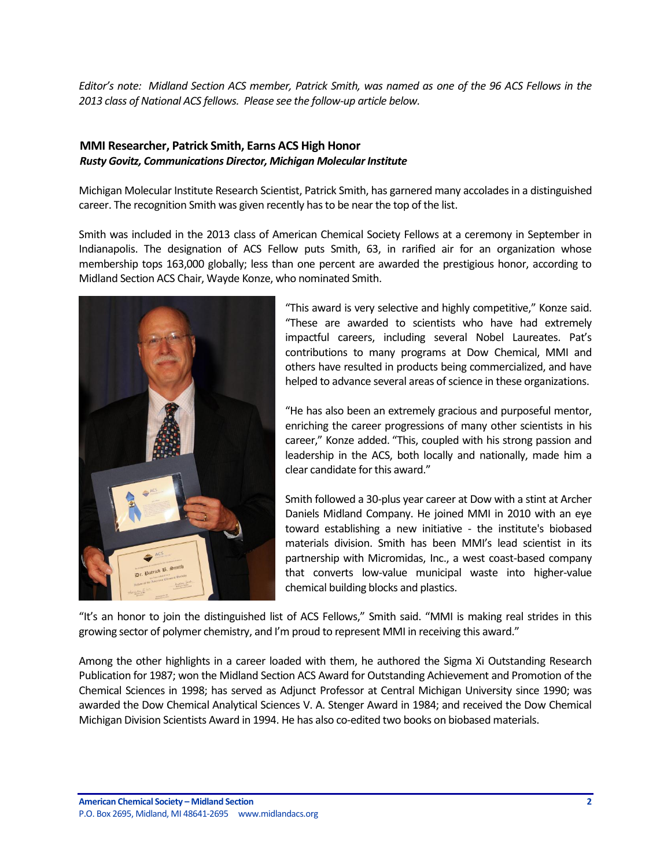*Editor's note: Midland Section ACS member, Patrick Smith, was named as one of the 96 ACS Fellows in the 2013 class of National ACS fellows. Please see the follow-up article below.*

# <span id="page-1-0"></span>**MMI Researcher, Patrick Smith, Earns ACS High Honor** *Rusty Govitz, Communications Director, Michigan Molecular Institute*

Michigan Molecular Institute Research Scientist, Patrick Smith, has garnered many accolades in a distinguished career. The recognition Smith was given recently has to be near the top of the list.

Smith was included in the 2013 class of American Chemical Society Fellows at a ceremony in September in Indianapolis. The designation of ACS Fellow puts Smith, 63, in rarified air for an organization whose membership tops 163,000 globally; less than one percent are awarded the prestigious honor, according to Midland Section ACS Chair, Wayde Konze, who nominated Smith.



"This award is very selective and highly competitive," Konze said. "These are awarded to scientists who have had extremely impactful careers, including several Nobel Laureates. Pat's contributions to many programs at Dow Chemical, MMI and others have resulted in products being commercialized, and have helped to advance several areas of science in these organizations.

"He has also been an extremely gracious and purposeful mentor, enriching the career progressions of many other scientists in his career," Konze added. "This, coupled with his strong passion and leadership in the ACS, both locally and nationally, made him a clear candidate for this award."

Smith followed a 30-plus year career at Dow with a stint at Archer Daniels Midland Company. He joined MMI in 2010 with an eye toward establishing a new initiative - the institute's biobased materials division. Smith has been MMI's lead scientist in its partnership with Micromidas, Inc., a west coast-based company that converts low-value municipal waste into higher-value chemical building blocks and plastics.

"It's an honor to join the distinguished list of ACS Fellows," Smith said. "MMI is making real strides in this growing sector of polymer chemistry, and I'm proud to represent MMI in receiving this award."

Among the other highlights in a career loaded with them, he authored the Sigma Xi Outstanding Research Publication for 1987; won the Midland Section ACS Award for Outstanding Achievement and Promotion of the Chemical Sciences in 1998; has served as Adjunct Professor at Central Michigan University since 1990; was awarded the Dow Chemical Analytical Sciences V. A. Stenger Award in 1984; and received the Dow Chemical Michigan Division Scientists Award in 1994. He has also co-edited two books on biobased materials.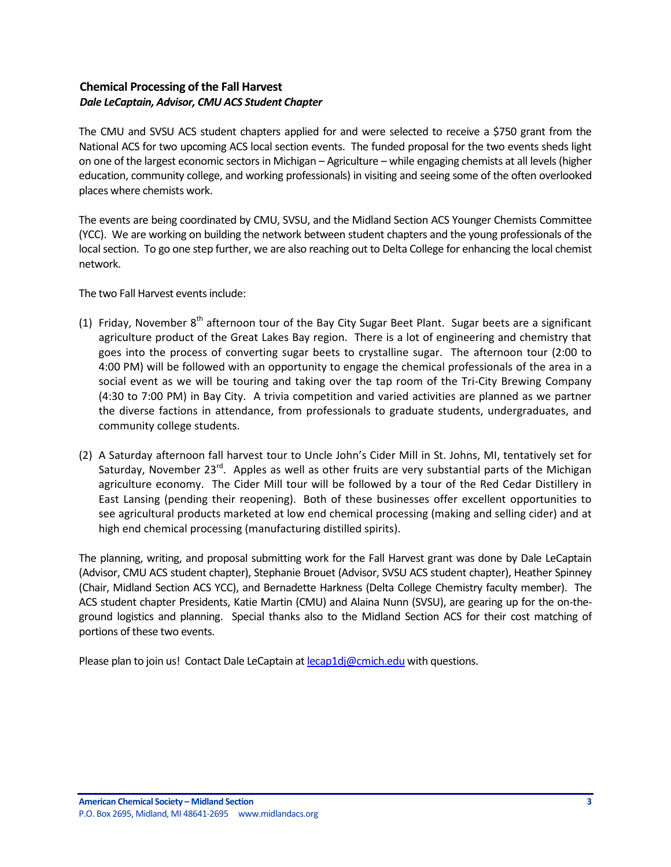# <span id="page-2-0"></span>**Chemical Processing of the Fall Harvest** *Dale LeCaptain, Advisor, CMU ACS Student Chapter*

The CMU and SVSU ACS student chapters applied for and were selected to receive a \$750 grant from the National ACS for two upcoming ACS local section events. The funded proposal for the two events sheds light on one of the largest economic sectors in Michigan – Agriculture – while engaging chemists at all levels (higher education, community college, and working professionals) in visiting and seeing some of the often overlooked places where chemists work.

The events are being coordinated by CMU, SVSU, and the Midland Section ACS Younger Chemists Committee (YCC). We are working on building the network between student chapters and the young professionals of the local section. To go one step further, we are also reaching out to Delta College for enhancing the local chemist network.

The two Fall Harvest events include:

- (1) Friday, November  $8<sup>th</sup>$  afternoon tour of the Bay City Sugar Beet Plant. Sugar beets are a significant agriculture product of the Great Lakes Bay region. There is a lot of engineering and chemistry that goes into the process of converting sugar beets to crystalline sugar. The afternoon tour (2:00 to 4:00 PM) will be followed with an opportunity to engage the chemical professionals of the area in a social event as we will be touring and taking over the tap room of the Tri-City Brewing Company (4:30 to 7:00 PM) in Bay City. A trivia competition and varied activities are planned as we partner the diverse factions in attendance, from professionals to graduate students, undergraduates, and community college students.
- (2) A Saturday afternoon fall harvest tour to Uncle John's Cider Mill in St. Johns, MI, tentatively set for Saturday, November 23<sup>rd</sup>. Apples as well as other fruits are very substantial parts of the Michigan agriculture economy. The Cider Mill tour will be followed by a tour of the Red Cedar Distillery in East Lansing (pending their reopening). Both of these businesses offer excellent opportunities to see agricultural products marketed at low end chemical processing (making and selling cider) and at high end chemical processing (manufacturing distilled spirits).

The planning, writing, and proposal submitting work for the Fall Harvest grant was done by Dale LeCaptain (Advisor, CMU ACS student chapter), Stephanie Brouet (Advisor, SVSU ACS student chapter), Heather Spinney (Chair, Midland Section ACS YCC), and Bernadette Harkness (Delta College Chemistry faculty member). The ACS student chapter Presidents, Katie Martin (CMU) and Alaina Nunn (SVSU), are gearing up for the on-theground logistics and planning. Special thanks also to the Midland Section ACS for their cost matching of portions of these two events.

Please plan to join us! Contact Dale LeCaptain a[t lecap1dj@cmich.edu](mailto:lecap1dj@cmich.edu) with questions.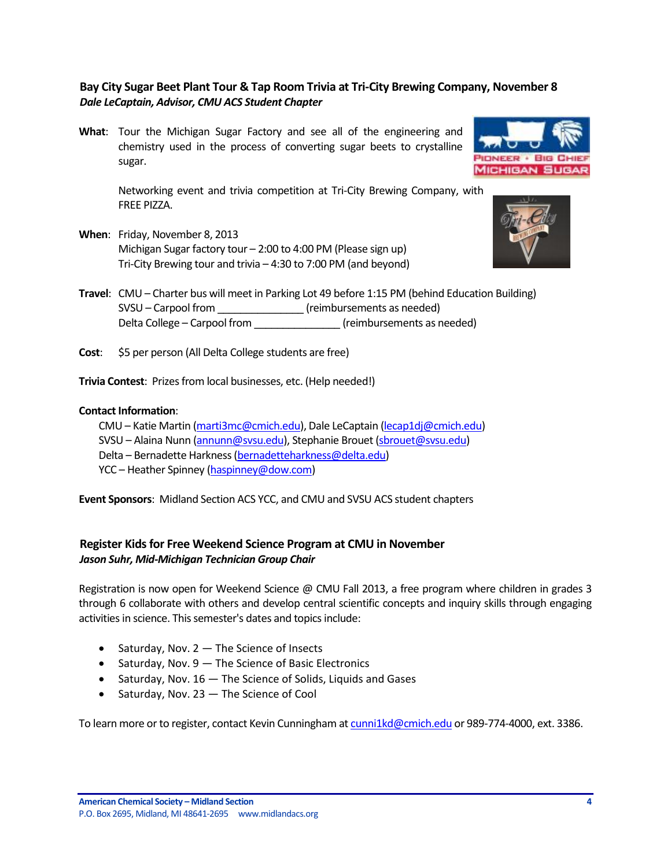# <span id="page-3-0"></span>**Bay City Sugar Beet Plant Tour & Tap Room Trivia at Tri-City Brewing Company, November 8** *Dale LeCaptain, Advisor, CMU ACS Student Chapter*

**What**: Tour the Michigan Sugar Factory and see all of the engineering and chemistry used in the process of converting sugar beets to crystalline sugar.

> Networking event and trivia competition at Tri-City Brewing Company, with FREE PIZZA.

**When**: Friday, November 8, 2013 Michigan Sugar factory tour – 2:00 to 4:00 PM (Please sign up) Tri-City Brewing tour and trivia – 4:30 to 7:00 PM (and beyond)





- **Travel**: CMU Charter bus will meet in Parking Lot 49 before 1:15 PM (behind Education Building) SVSU – Carpool from \_\_\_\_\_\_\_\_\_\_\_\_\_\_\_ (reimbursements as needed) Delta College – Carpool from \_\_\_\_\_\_\_\_\_\_\_\_\_\_\_ (reimbursements as needed)
- **Cost:** \$5 per person (All Delta College students are free)

**Trivia Contest**: Prizes from local businesses, etc. (Help needed!)

#### **Contact Information**:

CMU – Katie Martin [\(marti3mc@cmich.edu\)](mailto:marti3mc@cmich.edu), Dale LeCaptain [\(lecap1dj@cmich.edu\)](mailto:lecap1dj@cmich.edu) SVSU – Alaina Nunn [\(annunn@svsu.edu\)](mailto:annunn@svsu.edu), Stephanie Brouet [\(sbrouet@svsu.edu\)](mailto:sbrouet@svsu.edu) Delta – Bernadette Harkness [\(bernadetteharkness@delta.edu\)](mailto:bernadetteharkness@delta.edu) YCC – Heather Spinney [\(haspinney@dow.com\)](mailto:haspinney@dow.com)

**Event Sponsors**: Midland Section ACS YCC, and CMU and SVSU ACS student chapters

# <span id="page-3-1"></span>**Register Kids for Free Weekend Science Program at CMU in November** *Jason Suhr, Mid-Michigan Technician Group Chair*

Registration is now open for Weekend Science @ CMU Fall 2013, a free program where children in grades 3 through 6 collaborate with others and develop central scientific concepts and inquiry skills through engaging activities in science. This semester's dates and topics include:

- $\bullet$  Saturday, Nov. 2  $-$  The Science of Insects
- $\bullet$  Saturday, Nov. 9 The Science of Basic Electronics
- $\bullet$  Saturday, Nov. 16  $-$  The Science of Solids, Liquids and Gases
- $\bullet$  Saturday, Nov. 23  $-$  The Science of Cool

To learn more or to register, contact Kevin Cunningham a[t cunni1kd@cmich.edu](mailto:cunni1kd@cmich.edu) or 989-774-4000, ext. 3386.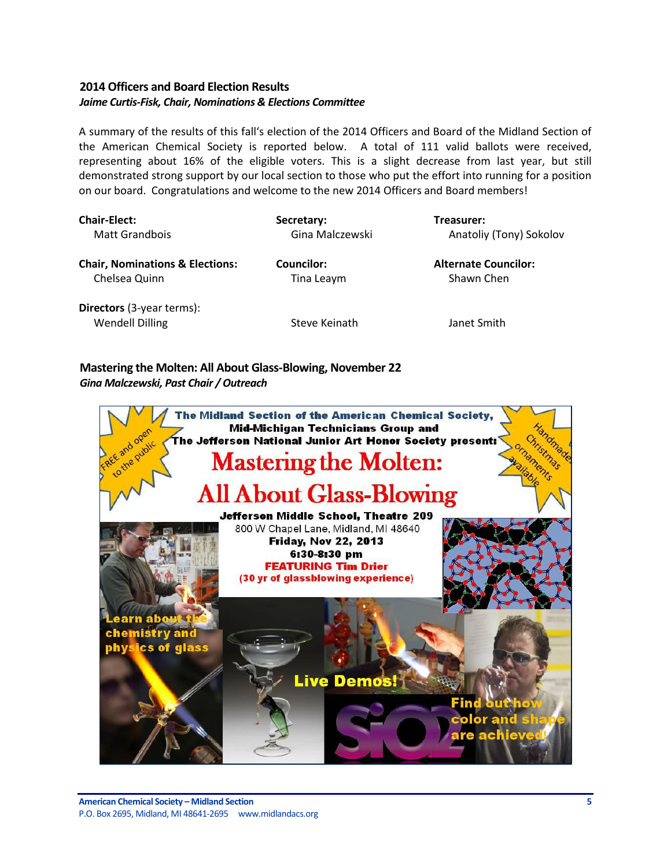# <span id="page-4-0"></span>**2014 Officers and Board Election Results** *Jaime Curtis-Fisk, Chair, Nominations & Elections Committee*

A summary of the results of this fall's election of the 2014 Officers and Board of the Midland Section of the American Chemical Society is reported below. A total of 111 valid ballots were received, representing about 16% of the eligible voters. This is a slight decrease from last year, but still demonstrated strong support by our local section to those who put the effort into running for a position on our board. Congratulations and welcome to the new 2014 Officers and Board members!

| <b>Chair-Elect:</b>                                        | Secretary:      | Treasurer:                  |
|------------------------------------------------------------|-----------------|-----------------------------|
| <b>Matt Grandbois</b>                                      | Gina Malczewski | Anatoliy (Tony) Sokolov     |
| <b>Chair, Nominations &amp; Elections:</b>                 | Councilor:      | <b>Alternate Councilor:</b> |
| Chelsea Quinn                                              | Tina Leaym      | Shawn Chen                  |
| <b>Directors</b> (3-year terms):<br><b>Wendell Dilling</b> | Steve Keinath   | Janet Smith                 |

<span id="page-4-1"></span>**Mastering the Molten: All About Glass-Blowing, November 22** *Gina Malczewski, Past Chair / Outreach*

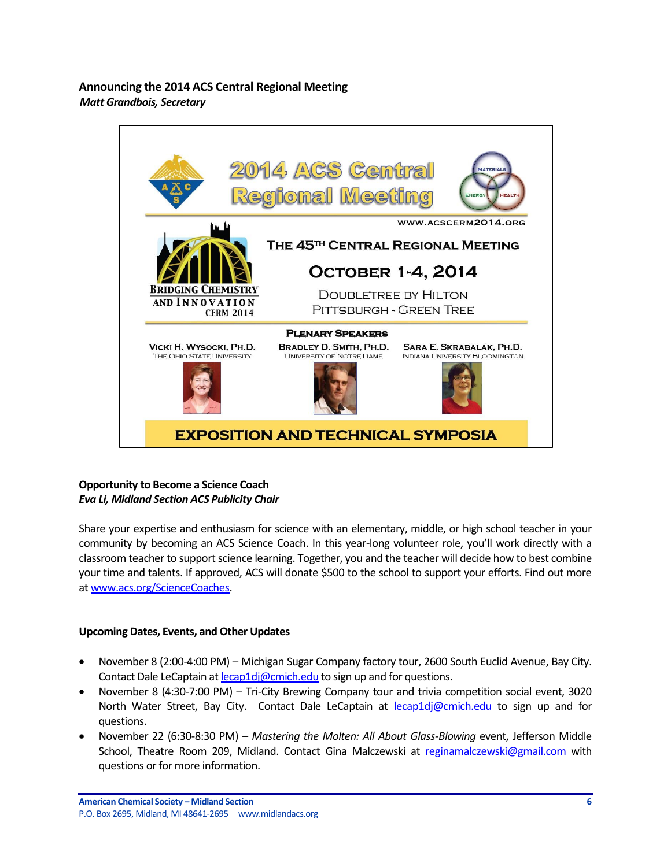<span id="page-5-0"></span>**Announcing the 2014 ACS Central Regional Meeting** *Matt Grandbois, Secretary*



# <span id="page-5-1"></span>**Opportunity to Become a Science Coach** *Eva Li, Midland Section ACS Publicity Chair*

Share your expertise and enthusiasm for science with an elementary, middle, or high school teacher in your community by becoming an ACS Science Coach. In this year-long volunteer role, you'll work directly with a classroom teacher to support science learning. Together, you and the teacher will decide how to best combine your time and talents. If approved, ACS will donate \$500 to the school to support your efforts. Find out more a[t www.acs.org/ScienceCoaches.](http://www.acs.org/ScienceCoaches)

#### <span id="page-5-2"></span>**Upcoming Dates, Events, and Other Updates**

- November 8 (2:00-4:00 PM) Michigan Sugar Company factory tour, 2600 South Euclid Avenue, Bay City. Contact Dale LeCaptain a[t lecap1dj@cmich.edu](mailto:lecap1dj@cmich.edu) to sign up and for questions.
- November 8 (4:30-7:00 PM) Tri-City Brewing Company tour and trivia competition social event, 3020 North Water Street, Bay City. Contact Dale LeCaptain at [lecap1dj@cmich.edu](mailto:lecap1dj@cmich.edu) to sign up and for questions.
- November 22 (6:30-8:30 PM) *Mastering the Molten: All About Glass-Blowing* event, Jefferson Middle School, Theatre Room 209, Midland. Contact Gina Malczewski at [reginamalczewski@gmail.com](mailto:reginamalczewski@gmail.com) with questions or for more information.